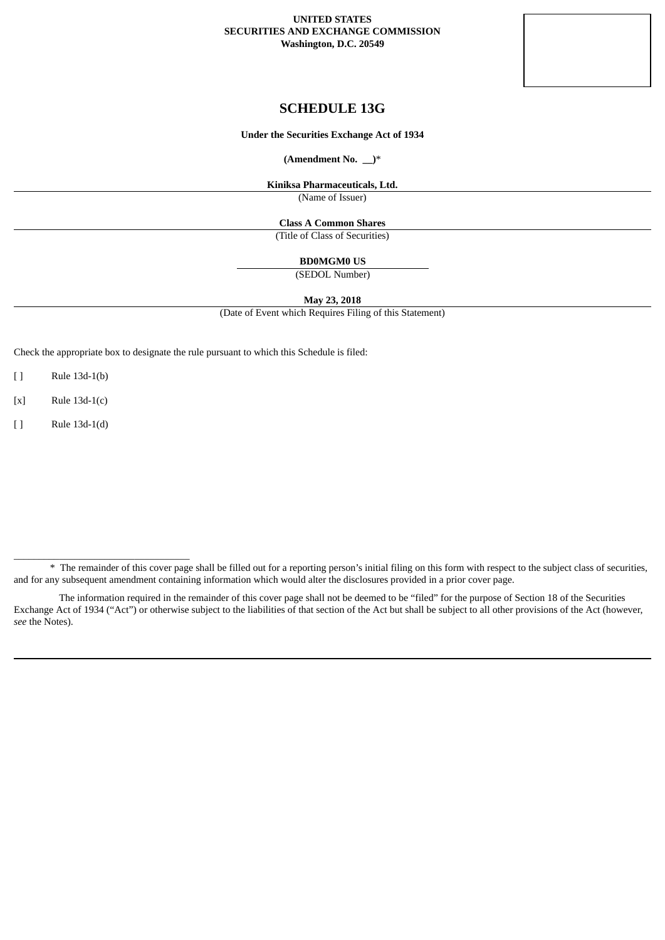### **UNITED STATES SECURITIES AND EXCHANGE COMMISSION Washington, D.C. 20549**



**Under the Securities Exchange Act of 1934**

**(Amendment No. \_\_)**\*

**Kiniksa Pharmaceuticals, Ltd.**

(Name of Issuer)

**Class A Common Shares**

(Title of Class of Securities)

**BD0MGM0 US**

(SEDOL Number)

**May 23, 2018**

(Date of Event which Requires Filing of this Statement)

Check the appropriate box to designate the rule pursuant to which this Schedule is filed:

[ ] Rule 13d-1(b)

[x] Rule 13d-1(c)

[ ] Rule 13d-1(d)

 $\frac{1}{2}$  ,  $\frac{1}{2}$  ,  $\frac{1}{2}$  ,  $\frac{1}{2}$  ,  $\frac{1}{2}$  ,  $\frac{1}{2}$  ,  $\frac{1}{2}$  ,  $\frac{1}{2}$  ,  $\frac{1}{2}$  ,  $\frac{1}{2}$  ,  $\frac{1}{2}$  ,  $\frac{1}{2}$  ,  $\frac{1}{2}$  ,  $\frac{1}{2}$  ,  $\frac{1}{2}$  ,  $\frac{1}{2}$  ,  $\frac{1}{2}$  ,  $\frac{1}{2}$  ,  $\frac{1$ 

<sup>\*</sup> The remainder of this cover page shall be filled out for a reporting person's initial filing on this form with respect to the subject class of securities, and for any subsequent amendment containing information which would alter the disclosures provided in a prior cover page.

The information required in the remainder of this cover page shall not be deemed to be "filed" for the purpose of Section 18 of the Securities Exchange Act of 1934 ("Act") or otherwise subject to the liabilities of that section of the Act but shall be subject to all other provisions of the Act (however, *see* the Notes).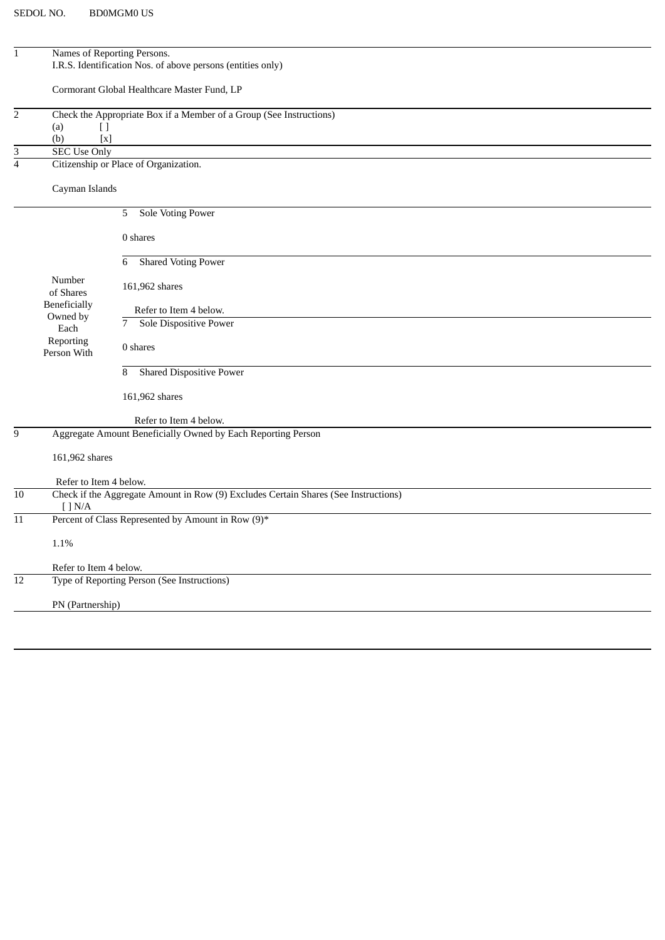| $\mathbf{1}$            |                                                    | Names of Reporting Persons.<br>I.R.S. Identification Nos. of above persons (entities only) |
|-------------------------|----------------------------------------------------|--------------------------------------------------------------------------------------------|
|                         |                                                    | Cormorant Global Healthcare Master Fund, LP                                                |
| $\mathbf 2$             |                                                    | Check the Appropriate Box if a Member of a Group (See Instructions)                        |
|                         | (a)<br>$[ \ ]$<br>(b)<br>$\left[ \text{x} \right]$ |                                                                                            |
| 3                       | <b>SEC Use Only</b>                                |                                                                                            |
| $\overline{\mathbf{4}}$ |                                                    | Citizenship or Place of Organization.                                                      |
|                         | Cayman Islands                                     |                                                                                            |
|                         |                                                    | Sole Voting Power<br>5                                                                     |
|                         |                                                    | 0 shares                                                                                   |
|                         |                                                    | <b>Shared Voting Power</b><br>6                                                            |
|                         | Number<br>of Shares                                | 161,962 shares                                                                             |
|                         | Beneficially                                       | Refer to Item 4 below.                                                                     |
|                         | Owned by<br>Each                                   | Sole Dispositive Power<br>7                                                                |
|                         | Reporting<br>Person With                           | 0 shares                                                                                   |
|                         |                                                    | <b>Shared Dispositive Power</b><br>8                                                       |
|                         |                                                    | 161,962 shares                                                                             |
|                         |                                                    | Refer to Item 4 below.                                                                     |
| 9                       |                                                    | Aggregate Amount Beneficially Owned by Each Reporting Person                               |
|                         | 161,962 shares                                     |                                                                                            |
|                         | Refer to Item 4 below.                             |                                                                                            |
| 10                      | [ ] N/A ]                                          | Check if the Aggregate Amount in Row (9) Excludes Certain Shares (See Instructions)        |
| 11                      |                                                    | Percent of Class Represented by Amount in Row (9)*                                         |
|                         | $1.1\%$                                            |                                                                                            |
|                         | Refer to Item 4 below.                             |                                                                                            |
| 12                      |                                                    | Type of Reporting Person (See Instructions)                                                |
|                         | PN (Partnership)                                   |                                                                                            |
|                         |                                                    |                                                                                            |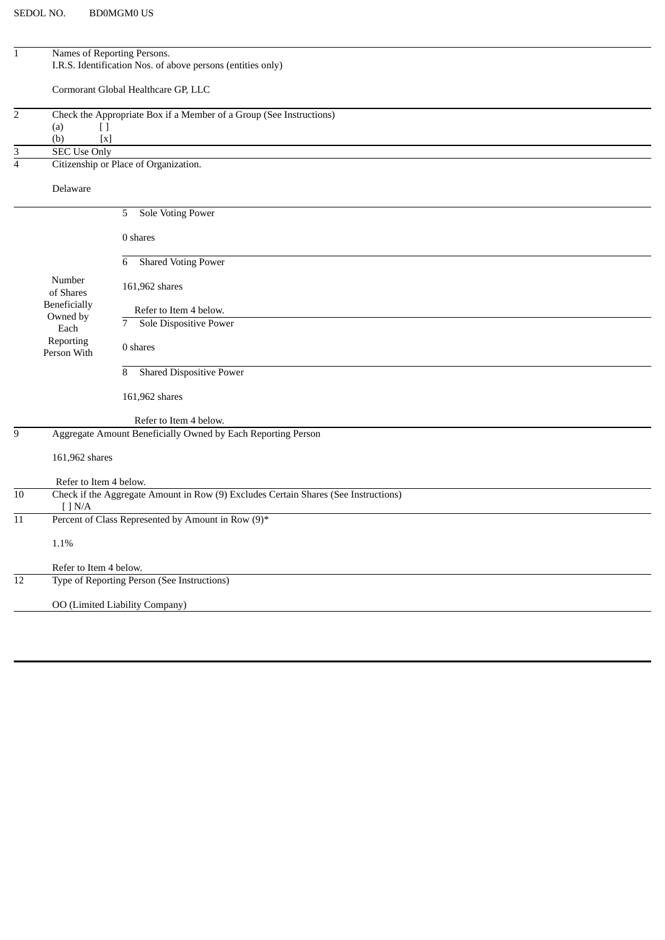| $\mathbf 1$      |                          | Names of Reporting Persons.                                                         |
|------------------|--------------------------|-------------------------------------------------------------------------------------|
|                  |                          | I.R.S. Identification Nos. of above persons (entities only)                         |
|                  |                          |                                                                                     |
|                  |                          | Cormorant Global Healthcare GP, LLC                                                 |
| $\overline{2}$   |                          | Check the Appropriate Box if a Member of a Group (See Instructions)                 |
|                  | (a)<br>H                 |                                                                                     |
|                  | (b)<br>$\lceil x \rceil$ |                                                                                     |
| 3                | <b>SEC Use Only</b>      |                                                                                     |
| $\overline{4}$   |                          | Citizenship or Place of Organization.                                               |
|                  | Delaware                 |                                                                                     |
|                  |                          |                                                                                     |
|                  |                          | Sole Voting Power<br>5                                                              |
|                  |                          | 0 shares                                                                            |
|                  |                          |                                                                                     |
|                  |                          | <b>Shared Voting Power</b><br>6                                                     |
|                  | Number                   |                                                                                     |
|                  | of Shares                | 161,962 shares                                                                      |
|                  | Beneficially             | Refer to Item 4 below.                                                              |
|                  | Owned by                 | <b>Sole Dispositive Power</b><br>7                                                  |
|                  | Each<br>Reporting        |                                                                                     |
|                  | Person With              | 0 shares                                                                            |
|                  |                          | <b>Shared Dispositive Power</b><br>8                                                |
|                  |                          |                                                                                     |
|                  |                          | 161,962 shares                                                                      |
|                  |                          | Refer to Item 4 below.                                                              |
| $\boldsymbol{9}$ |                          | Aggregate Amount Beneficially Owned by Each Reporting Person                        |
|                  |                          |                                                                                     |
|                  | 161,962 shares           |                                                                                     |
|                  | Refer to Item 4 below.   |                                                                                     |
| 10               |                          | Check if the Aggregate Amount in Row (9) Excludes Certain Shares (See Instructions) |
|                  | $[$ $]$ N/A              |                                                                                     |
| 11               |                          | Percent of Class Represented by Amount in Row (9)*                                  |
|                  | 1.1%                     |                                                                                     |
|                  |                          |                                                                                     |
|                  | Refer to Item 4 below.   |                                                                                     |
| 12               |                          | Type of Reporting Person (See Instructions)                                         |
|                  |                          | OO (Limited Liability Company)                                                      |
|                  |                          |                                                                                     |
|                  |                          |                                                                                     |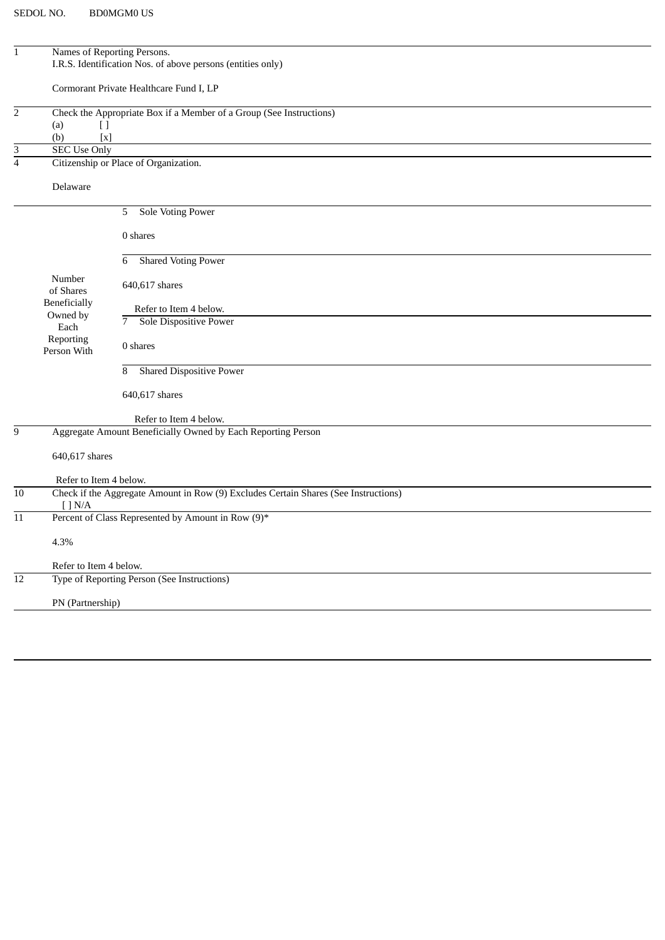| $\overline{1}$            |                                  | Names of Reporting Persons.                                                         |
|---------------------------|----------------------------------|-------------------------------------------------------------------------------------|
|                           |                                  | I.R.S. Identification Nos. of above persons (entities only)                         |
|                           |                                  |                                                                                     |
|                           |                                  | Cormorant Private Healthcare Fund I, LP                                             |
| $\overline{2}$            |                                  | Check the Appropriate Box if a Member of a Group (See Instructions)                 |
|                           | (a)<br>$[ \ ]$                   |                                                                                     |
|                           | (b)<br>$\left[ \text{x} \right]$ |                                                                                     |
| $\ensuremath{\mathsf{3}}$ | <b>SEC Use Only</b>              |                                                                                     |
| $\overline{4}$            |                                  | Citizenship or Place of Organization.                                               |
|                           | Delaware                         |                                                                                     |
|                           |                                  | <b>Sole Voting Power</b><br>5                                                       |
|                           |                                  | 0 shares                                                                            |
|                           |                                  | <b>Shared Voting Power</b><br>6                                                     |
|                           | Number<br>of Shares              | 640,617 shares                                                                      |
|                           | Beneficially                     | Refer to Item 4 below.                                                              |
|                           | Owned by                         | $\overline{7}$<br>Sole Dispositive Power                                            |
|                           | Each<br>Reporting                |                                                                                     |
|                           | Person With                      | 0 shares                                                                            |
|                           |                                  | <b>Shared Dispositive Power</b><br>8                                                |
|                           |                                  | 640,617 shares                                                                      |
|                           |                                  | Refer to Item 4 below.                                                              |
| $\overline{9}$            |                                  | Aggregate Amount Beneficially Owned by Each Reporting Person                        |
|                           | 640,617 shares                   |                                                                                     |
|                           | Refer to Item 4 below.           |                                                                                     |
| 10                        |                                  | Check if the Aggregate Amount in Row (9) Excludes Certain Shares (See Instructions) |
|                           | [ ] N/A                          |                                                                                     |
| 11                        |                                  | Percent of Class Represented by Amount in Row (9)*                                  |
|                           | 4.3%                             |                                                                                     |
|                           | Refer to Item 4 below.           |                                                                                     |
| 12                        |                                  | Type of Reporting Person (See Instructions)                                         |
|                           | PN (Partnership)                 |                                                                                     |
|                           |                                  |                                                                                     |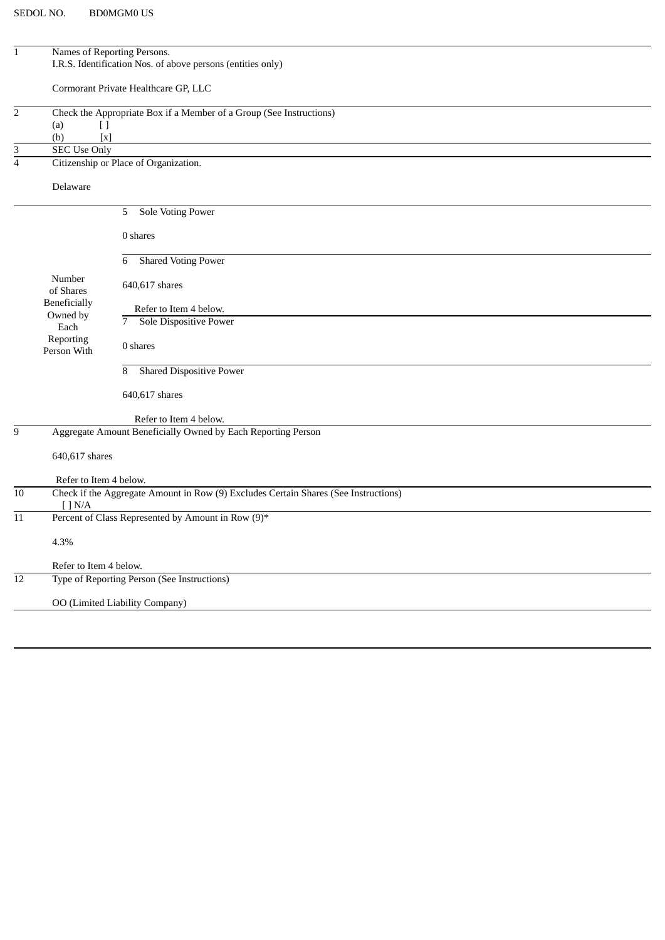| $\mathbf 1$               |                                  | Names of Reporting Persons.                                                         |
|---------------------------|----------------------------------|-------------------------------------------------------------------------------------|
|                           |                                  | I.R.S. Identification Nos. of above persons (entities only)                         |
|                           |                                  |                                                                                     |
|                           |                                  | Cormorant Private Healthcare GP, LLC                                                |
| $\overline{2}$            |                                  | Check the Appropriate Box if a Member of a Group (See Instructions)                 |
|                           | (a)<br>$[ \ ]$                   |                                                                                     |
|                           | $\left[ \text{x} \right]$<br>(b) |                                                                                     |
| $\ensuremath{\mathsf{3}}$ | <b>SEC Use Only</b>              |                                                                                     |
| $\overline{4}$            |                                  | Citizenship or Place of Organization.                                               |
|                           |                                  |                                                                                     |
|                           | Delaware                         |                                                                                     |
|                           |                                  | <b>Sole Voting Power</b><br>5                                                       |
|                           |                                  | 0 shares                                                                            |
|                           |                                  |                                                                                     |
|                           |                                  | <b>Shared Voting Power</b><br>6                                                     |
|                           | Number                           | 640,617 shares                                                                      |
|                           | of Shares                        |                                                                                     |
|                           | Beneficially                     | Refer to Item 4 below.                                                              |
|                           | Owned by<br>Each                 | $\overline{7}$<br><b>Sole Dispositive Power</b>                                     |
|                           | Reporting                        |                                                                                     |
|                           | Person With                      | 0 shares                                                                            |
|                           |                                  | <b>Shared Dispositive Power</b><br>8                                                |
|                           |                                  |                                                                                     |
|                           |                                  | 640,617 shares                                                                      |
|                           |                                  | Refer to Item 4 below.                                                              |
| $\overline{9}$            |                                  | Aggregate Amount Beneficially Owned by Each Reporting Person                        |
|                           | 640,617 shares                   |                                                                                     |
|                           | Refer to Item 4 below.           |                                                                                     |
| 10                        |                                  | Check if the Aggregate Amount in Row (9) Excludes Certain Shares (See Instructions) |
|                           | $\lceil$ $\rceil$ N/A            |                                                                                     |
| 11                        |                                  | Percent of Class Represented by Amount in Row (9)*                                  |
|                           | 4.3%                             |                                                                                     |
|                           | Refer to Item 4 below.           |                                                                                     |
| 12                        |                                  | Type of Reporting Person (See Instructions)                                         |
|                           |                                  | OO (Limited Liability Company)                                                      |
|                           |                                  |                                                                                     |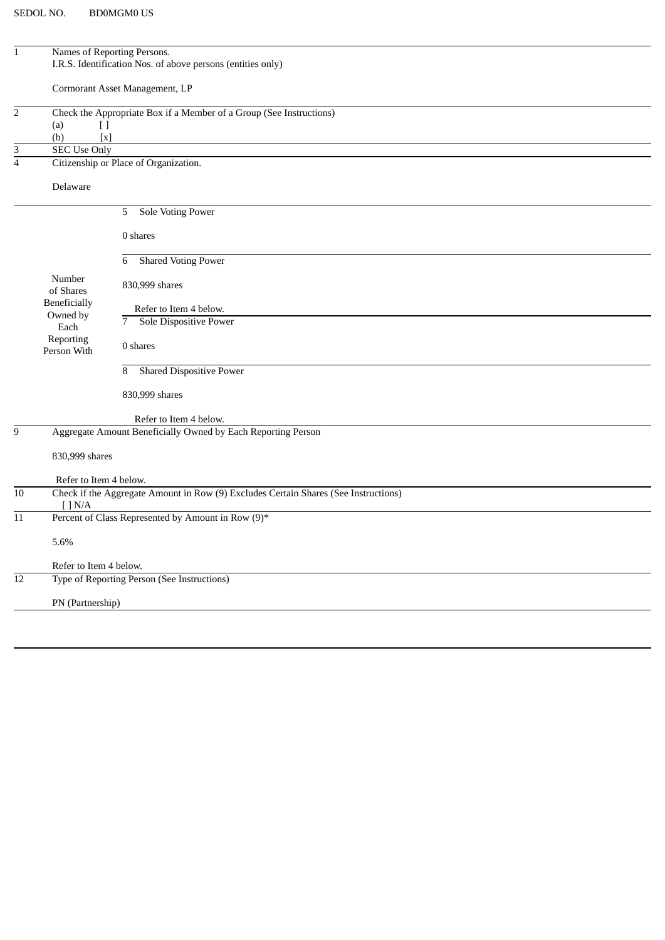| $\mathbf 1$     |                                 | Names of Reporting Persons.                                                         |
|-----------------|---------------------------------|-------------------------------------------------------------------------------------|
|                 |                                 | I.R.S. Identification Nos. of above persons (entities only)                         |
|                 |                                 | Cormorant Asset Management, LP                                                      |
| $\overline{2}$  |                                 | Check the Appropriate Box if a Member of a Group (See Instructions)                 |
|                 | $[ \ ]$<br>(a)                  |                                                                                     |
|                 | $[x]$<br>(b)                    |                                                                                     |
| 3               | <b>SEC Use Only</b>             |                                                                                     |
| $\overline{4}$  |                                 | Citizenship or Place of Organization.                                               |
|                 | Delaware                        |                                                                                     |
|                 |                                 | <b>Sole Voting Power</b><br>5                                                       |
|                 |                                 | 0 shares                                                                            |
|                 |                                 | <b>Shared Voting Power</b><br>6                                                     |
|                 | Number<br>of Shares             | 830,999 shares                                                                      |
|                 | <b>Beneficially</b><br>Owned by | Refer to Item 4 below.                                                              |
|                 | Each                            | $\overline{7}$<br><b>Sole Dispositive Power</b>                                     |
|                 | Reporting<br>Person With        | 0 shares                                                                            |
|                 |                                 | <b>Shared Dispositive Power</b><br>8                                                |
|                 |                                 | 830,999 shares                                                                      |
|                 |                                 | Refer to Item 4 below.                                                              |
| 9               |                                 | Aggregate Amount Beneficially Owned by Each Reporting Person                        |
|                 | 830,999 shares                  |                                                                                     |
|                 | Refer to Item 4 below.          |                                                                                     |
| $\overline{10}$ | [ ] N/A                         | Check if the Aggregate Amount in Row (9) Excludes Certain Shares (See Instructions) |
| 11              |                                 | Percent of Class Represented by Amount in Row (9)*                                  |
|                 | 5.6%                            |                                                                                     |
|                 | Refer to Item 4 below.          |                                                                                     |
| 12              |                                 | Type of Reporting Person (See Instructions)                                         |
|                 | PN (Partnership)                |                                                                                     |
|                 |                                 |                                                                                     |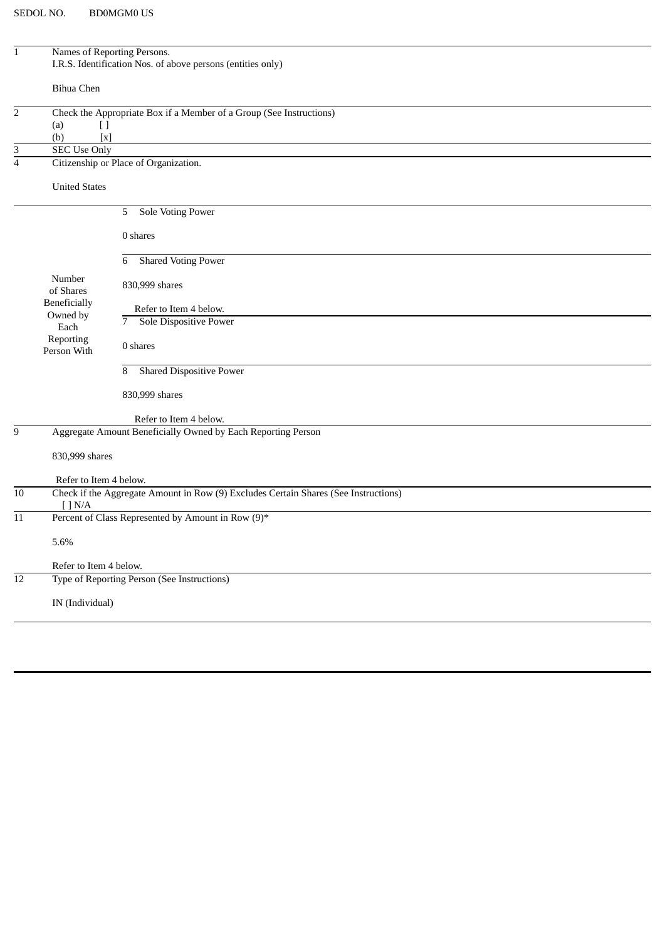| $\mathbf 1$    | Names of Reporting Persons.      |                                                                                     |
|----------------|----------------------------------|-------------------------------------------------------------------------------------|
|                |                                  | I.R.S. Identification Nos. of above persons (entities only)                         |
|                |                                  |                                                                                     |
|                | Bihua Chen                       |                                                                                     |
|                |                                  |                                                                                     |
| $\sqrt{2}$     |                                  | Check the Appropriate Box if a Member of a Group (See Instructions)                 |
|                | (a)<br>$[ \ ]$                   |                                                                                     |
|                | $\left[ \text{x} \right]$<br>(b) |                                                                                     |
| 3              | <b>SEC Use Only</b>              |                                                                                     |
| $\overline{4}$ |                                  | Citizenship or Place of Organization.                                               |
|                |                                  |                                                                                     |
|                | <b>United States</b>             |                                                                                     |
|                |                                  |                                                                                     |
|                |                                  | <b>Sole Voting Power</b><br>5                                                       |
|                |                                  |                                                                                     |
|                |                                  | 0 shares                                                                            |
|                |                                  |                                                                                     |
|                |                                  | <b>Shared Voting Power</b><br>6                                                     |
|                | Number                           |                                                                                     |
|                | of Shares                        | 830,999 shares                                                                      |
|                | Beneficially                     | Refer to Item 4 below.                                                              |
|                | Owned by                         | $\overline{7}$<br>Sole Dispositive Power                                            |
|                | Each<br>Reporting                |                                                                                     |
|                | Person With                      | 0 shares                                                                            |
|                |                                  |                                                                                     |
|                |                                  | <b>Shared Dispositive Power</b><br>8                                                |
|                |                                  |                                                                                     |
|                |                                  | 830,999 shares                                                                      |
|                |                                  |                                                                                     |
|                |                                  | Refer to Item 4 below.                                                              |
| $\overline{9}$ |                                  | Aggregate Amount Beneficially Owned by Each Reporting Person                        |
|                | 830,999 shares                   |                                                                                     |
|                |                                  |                                                                                     |
|                | Refer to Item 4 below.           |                                                                                     |
| 10             |                                  | Check if the Aggregate Amount in Row (9) Excludes Certain Shares (See Instructions) |
|                | [ ] N/A                          |                                                                                     |
| 11             |                                  | Percent of Class Represented by Amount in Row (9)*                                  |
|                |                                  |                                                                                     |
|                | 5.6%                             |                                                                                     |
|                |                                  |                                                                                     |
|                | Refer to Item 4 below.           |                                                                                     |
| 12             |                                  | Type of Reporting Person (See Instructions)                                         |
|                |                                  |                                                                                     |
|                | IN (Individual)                  |                                                                                     |
|                |                                  |                                                                                     |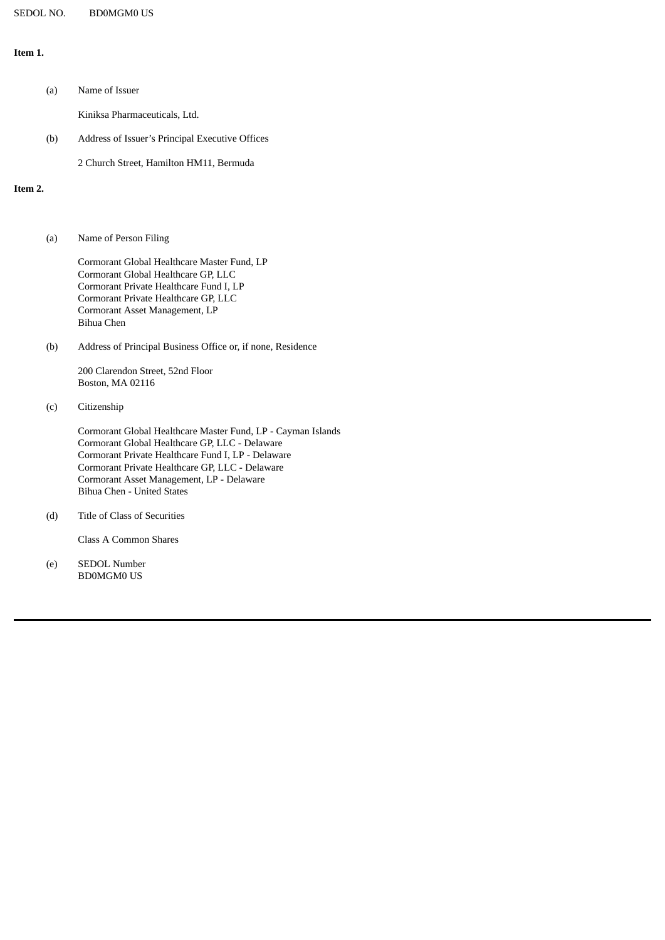### **Item 1.**

| (a) | Name of Issuer                                  |
|-----|-------------------------------------------------|
|     | Kiniksa Pharmaceuticals, Ltd.                   |
| (b) | Address of Issuer's Principal Executive Offices |

2 Church Street, Hamilton HM11, Bermuda

## **Item 2.**

(a) Name of Person Filing

Cormorant Global Healthcare Master Fund, LP Cormorant Global Healthcare GP, LLC Cormorant Private Healthcare Fund I, LP Cormorant Private Healthcare GP, LLC Cormorant Asset Management, LP Bihua Chen

(b) Address of Principal Business Office or, if none, Residence

200 Clarendon Street, 52nd Floor Boston, MA 02116

(c) Citizenship

Cormorant Global Healthcare Master Fund, LP - Cayman Islands Cormorant Global Healthcare GP, LLC - Delaware Cormorant Private Healthcare Fund I, LP - Delaware Cormorant Private Healthcare GP, LLC - Delaware Cormorant Asset Management, LP - Delaware Bihua Chen - United States

(d) Title of Class of Securities

Class A Common Shares

(e) SEDOL Number BD0MGM0 US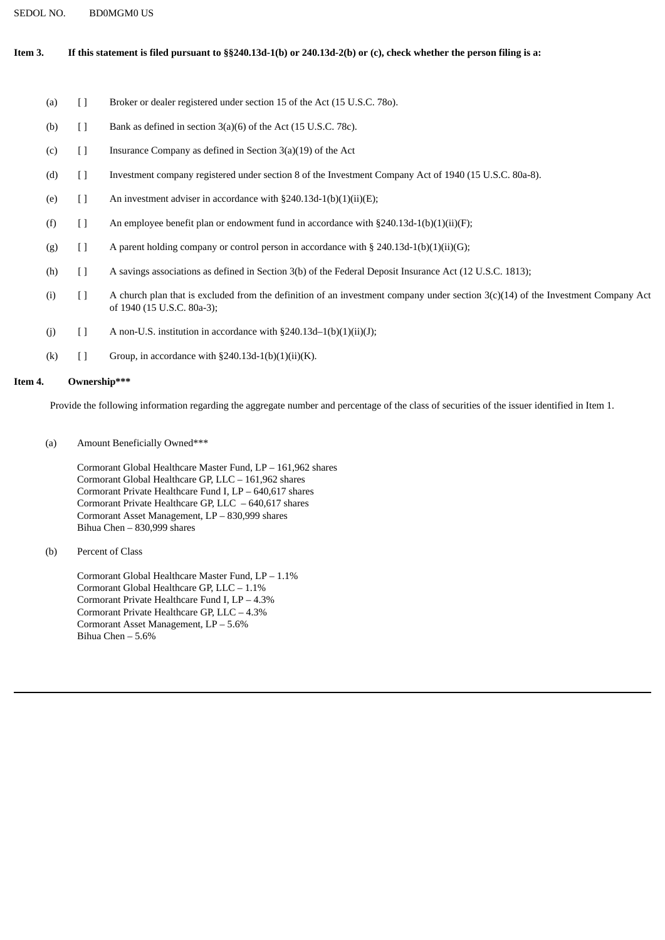### Item 3. If this statement is filed pursuant to §§240.13d-1(b) or 240.13d-2(b) or (c), check whether the person filing is a:

- (a) [ ] Broker or dealer registered under section 15 of the Act (15 U.S.C. 780).
- (b)  $[$  ] Bank as defined in section  $3(a)(6)$  of the Act (15 U.S.C. 78c).
- (c)  $\begin{bmatrix} \end{bmatrix}$  Insurance Company as defined in Section 3(a)(19) of the Act
- (d) [ ] Investment company registered under section 8 of the Investment Company Act of 1940 (15 U.S.C. 80a-8).
- (e)  $[ ]$  An investment adviser in accordance with §240.13d-1(b)(1)(ii)(E);
- (f)  $[$  ] An employee benefit plan or endowment fund in accordance with §240.13d-1(b)(1)(ii)(F);
- (g)  $\left[ \right]$  A parent holding company or control person in accordance with § 240.13d-1(b)(1)(ii)(G);
- (h) [ ] A savings associations as defined in Section 3(b) of the Federal Deposit Insurance Act (12 U.S.C. 1813);
- (i) [ ] A church plan that is excluded from the definition of an investment company under section 3(c)(14) of the Investment Company Act of 1940 (15 U.S.C. 80a-3);
- (j)  $\qquad$  [ ] A non-U.S. institution in accordance with §240.13d–1(b)(1)(ii)(J);
- (k)  $[ ]$  Group, in accordance with §240.13d-1(b)(1)(ii)(K).

#### **Item 4. Ownership\*\*\***

Provide the following information regarding the aggregate number and percentage of the class of securities of the issuer identified in Item 1.

(a) Amount Beneficially Owned\*\*\*

Cormorant Global Healthcare Master Fund, LP – 161,962 shares Cormorant Global Healthcare GP, LLC – 161,962 shares Cormorant Private Healthcare Fund I, LP – 640,617 shares Cormorant Private Healthcare GP, LLC – 640,617 shares Cormorant Asset Management, LP – 830,999 shares Bihua Chen – 830,999 shares

(b) Percent of Class

Cormorant Global Healthcare Master Fund, LP – 1.1% Cormorant Global Healthcare GP, LLC – 1.1% Cormorant Private Healthcare Fund I, LP – 4.3% Cormorant Private Healthcare GP, LLC – 4.3% Cormorant Asset Management, LP – 5.6% Bihua Chen – 5.6%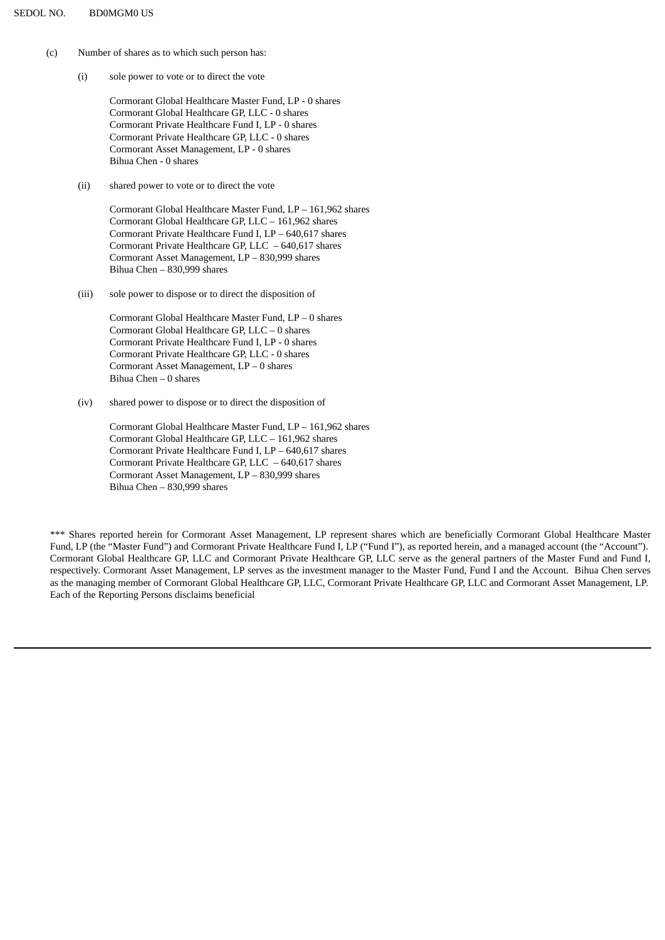- (c) Number of shares as to which such person has:
	- (i) sole power to vote or to direct the vote

Cormorant Global Healthcare Master Fund, LP - 0 shares Cormorant Global Healthcare GP, LLC - 0 shares Cormorant Private Healthcare Fund I, LP - 0 shares Cormorant Private Healthcare GP, LLC - 0 shares Cormorant Asset Management, LP - 0 shares Bihua Chen - 0 shares

(ii) shared power to vote or to direct the vote

Cormorant Global Healthcare Master Fund, LP – 161,962 shares Cormorant Global Healthcare GP, LLC – 161,962 shares Cormorant Private Healthcare Fund I, LP – 640,617 shares Cormorant Private Healthcare GP, LLC – 640,617 shares Cormorant Asset Management, LP – 830,999 shares Bihua Chen – 830,999 shares

(iii) sole power to dispose or to direct the disposition of

Cormorant Global Healthcare Master Fund, LP – 0 shares Cormorant Global Healthcare GP, LLC – 0 shares Cormorant Private Healthcare Fund I, LP - 0 shares Cormorant Private Healthcare GP, LLC - 0 shares Cormorant Asset Management, LP – 0 shares Bihua Chen – 0 shares

(iv) shared power to dispose or to direct the disposition of

Cormorant Global Healthcare Master Fund, LP – 161,962 shares Cormorant Global Healthcare GP, LLC – 161,962 shares Cormorant Private Healthcare Fund I, LP – 640,617 shares Cormorant Private Healthcare GP, LLC – 640,617 shares Cormorant Asset Management, LP – 830,999 shares Bihua Chen – 830,999 shares

\*\*\* Shares reported herein for Cormorant Asset Management, LP represent shares which are beneficially Cormorant Global Healthcare Master Fund, LP (the "Master Fund") and Cormorant Private Healthcare Fund I, LP ("Fund I"), as reported herein, and a managed account (the "Account"). Cormorant Global Healthcare GP, LLC and Cormorant Private Healthcare GP, LLC serve as the general partners of the Master Fund and Fund I, respectively. Cormorant Asset Management, LP serves as the investment manager to the Master Fund, Fund I and the Account. Bihua Chen serves as the managing member of Cormorant Global Healthcare GP, LLC, Cormorant Private Healthcare GP, LLC and Cormorant Asset Management, LP. Each of the Reporting Persons disclaims beneficial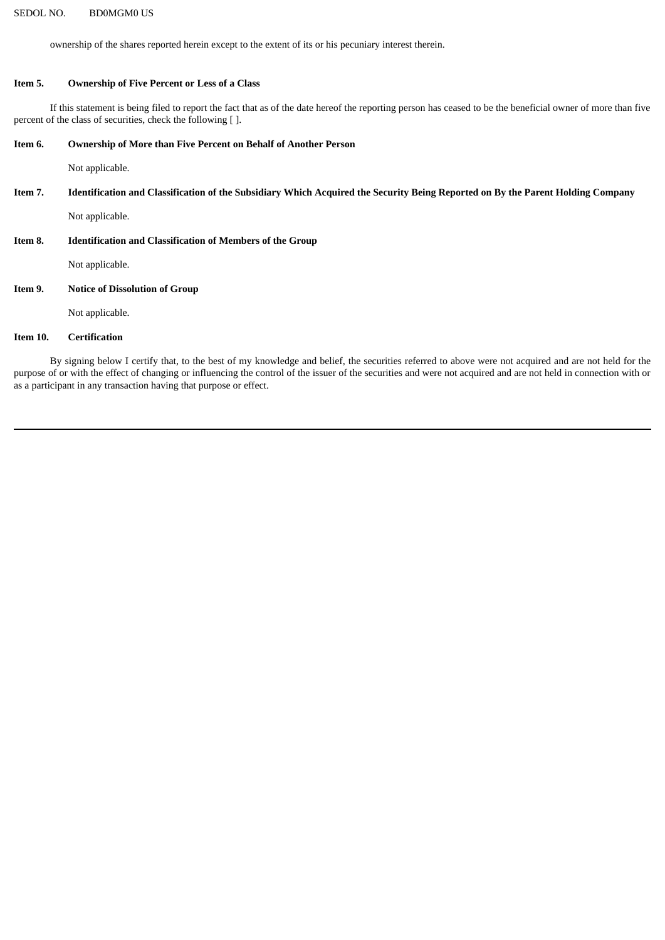ownership of the shares reported herein except to the extent of its or his pecuniary interest therein.

#### **Item 5. Ownership of Five Percent or Less of a Class**

If this statement is being filed to report the fact that as of the date hereof the reporting person has ceased to be the beneficial owner of more than five percent of the class of securities, check the following [ ].

#### **Item 6. Ownership of More than Five Percent on Behalf of Another Person**

Not applicable.

# Item 7. Identification and Classification of the Subsidiary Which Acquired the Security Being Reported on By the Parent Holding Company

Not applicable.

## **Item 8. Identification and Classification of Members of the Group**

Not applicable.

## **Item 9. Notice of Dissolution of Group**

Not applicable.

# **Item 10. Certification**

By signing below I certify that, to the best of my knowledge and belief, the securities referred to above were not acquired and are not held for the purpose of or with the effect of changing or influencing the control of the issuer of the securities and were not acquired and are not held in connection with or as a participant in any transaction having that purpose or effect.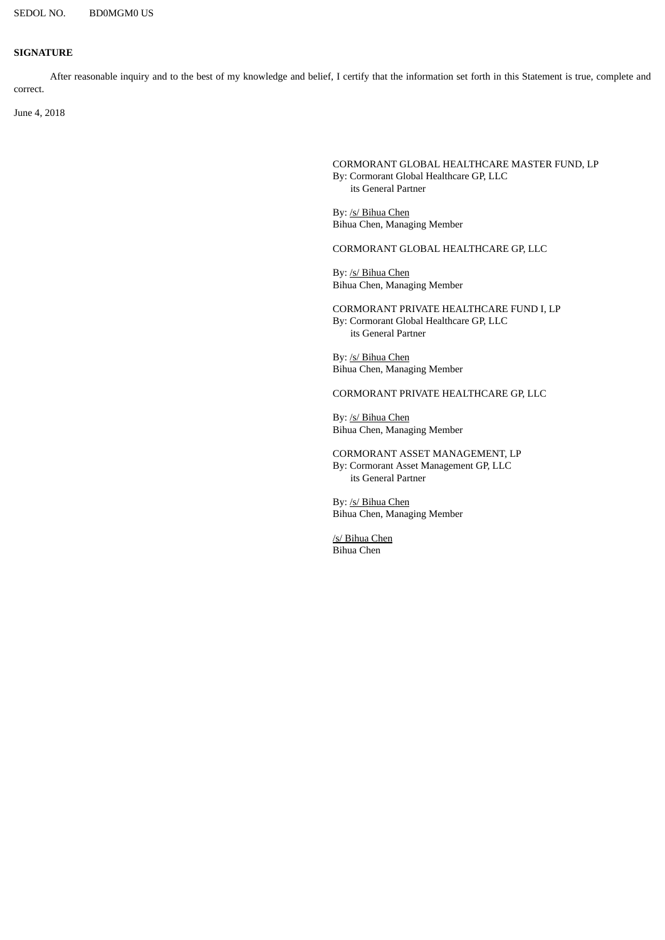### **SIGNATURE**

After reasonable inquiry and to the best of my knowledge and belief, I certify that the information set forth in this Statement is true, complete and correct.

June 4, 2018

CORMORANT GLOBAL HEALTHCARE MASTER FUND, LP By: Cormorant Global Healthcare GP, LLC its General Partner

By: /s/ Bihua Chen Bihua Chen, Managing Member

CORMORANT GLOBAL HEALTHCARE GP, LLC

By: /s/ Bihua Chen Bihua Chen, Managing Member

CORMORANT PRIVATE HEALTHCARE FUND I, LP By: Cormorant Global Healthcare GP, LLC its General Partner

By: /s/ Bihua Chen Bihua Chen, Managing Member

CORMORANT PRIVATE HEALTHCARE GP, LLC

By: /s/ Bihua Chen Bihua Chen, Managing Member

CORMORANT ASSET MANAGEMENT, LP By: Cormorant Asset Management GP, LLC its General Partner

By: /s/ Bihua Chen Bihua Chen, Managing Member

/s/ Bihua Chen Bihua Chen